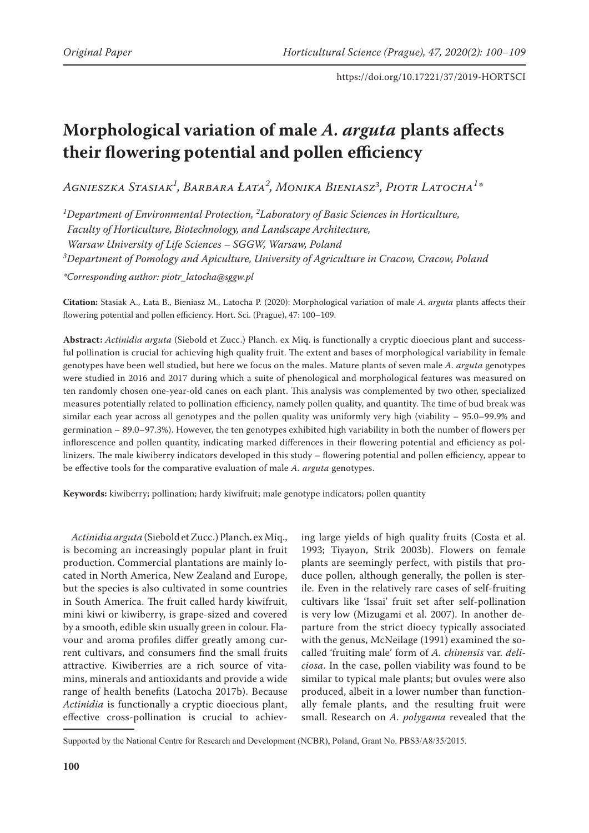# **Morphological variation of male** *A. arguta* **plants affects their flowering potential and pollen efficiency**

*Agnieszka Stasiak<sup>1</sup> , Barbara Łata<sup>2</sup> , Monika Bieniasz3 , Piotr Latocha<sup>1</sup> \**

*1 Department of Environmental Protection, 2 Laboratory of Basic Sciences in Horticulture,* 

*Faculty of Horticulture, Biotechnology, and Landscape Architecture,* 

*Warsaw University of Life Sciences – SGGW, Warsaw, Poland*

*3 Department of Pomology and Apiculture, University of Agriculture in Cracow, Cracow, Poland*

*\*Corresponding author: piotr\_latocha@sggw.pl*

**Citation:** Stasiak A., Łata B., Bieniasz M., Latocha P. (2020): Morphological variation of male *A. arguta* plants affects their flowering potential and pollen efficiency. Hort. Sci. (Prague), 47: 100–109.

**Abstract:** *Actinidia arguta* (Siebold et Zucc.) Planch. ex Miq. is functionally a cryptic dioecious plant and successful pollination is crucial for achieving high quality fruit. The extent and bases of morphological variability in female genotypes have been well studied, but here we focus on the males. Mature plants of seven male *A. arguta* genotypes were studied in 2016 and 2017 during which a suite of phenological and morphological features was measured on ten randomly chosen one-year-old canes on each plant. This analysis was complemented by two other, specialized measures potentially related to pollination efficiency, namely pollen quality, and quantity. The time of bud break was similar each year across all genotypes and the pollen quality was uniformly very high (viability – 95.0–99.9% and germination – 89.0–97.3%). However, the ten genotypes exhibited high variability in both the number of flowers per inflorescence and pollen quantity, indicating marked differences in their flowering potential and efficiency as pollinizers. The male kiwiberry indicators developed in this study – flowering potential and pollen efficiency, appear to be effective tools for the comparative evaluation of male *A. arguta* genotypes.

**Keywords:** kiwiberry; pollination; hardy kiwifruit; male genotype indicators; pollen quantity

*Actinidia arguta* (Siebold et Zucc.) Planch. ex Miq., is becoming an increasingly popular plant in fruit production. Commercial plantations are mainly located in North America, New Zealand and Europe, but the species is also cultivated in some countries in South America. The fruit called hardy kiwifruit, mini kiwi or kiwiberry, is grape-sized and covered by a smooth, edible skin usually green in colour. Flavour and aroma profiles differ greatly among current cultivars, and consumers find the small fruits attractive. Kiwiberries are a rich source of vitamins, minerals and antioxidants and provide a wide range of health benefits (Latocha 2017b). Because *Actinidia* is functionally a cryptic dioecious plant, effective cross-pollination is crucial to achiev-

ing large yields of high quality fruits (Costa et al. 1993; Tiyayon, Strik 2003b). Flowers on female plants are seemingly perfect, with pistils that produce pollen, although generally, the pollen is sterile. Even in the relatively rare cases of self-fruiting cultivars like 'Issai' fruit set after self-pollination is very low (Mizugami et al. 2007). In another departure from the strict dioecy typically associated with the genus, McNeilage (1991) examined the socalled 'fruiting male' form of *A. chinensis* var. *deliciosa*. In the case, pollen viability was found to be similar to typical male plants; but ovules were also produced, albeit in a lower number than functionally female plants, and the resulting fruit were small. Research on *A. polygama* revealed that the

Supported by the National Centre for Research and Development (NCBR), Poland, Grant No. PBS3/A8/35/2015.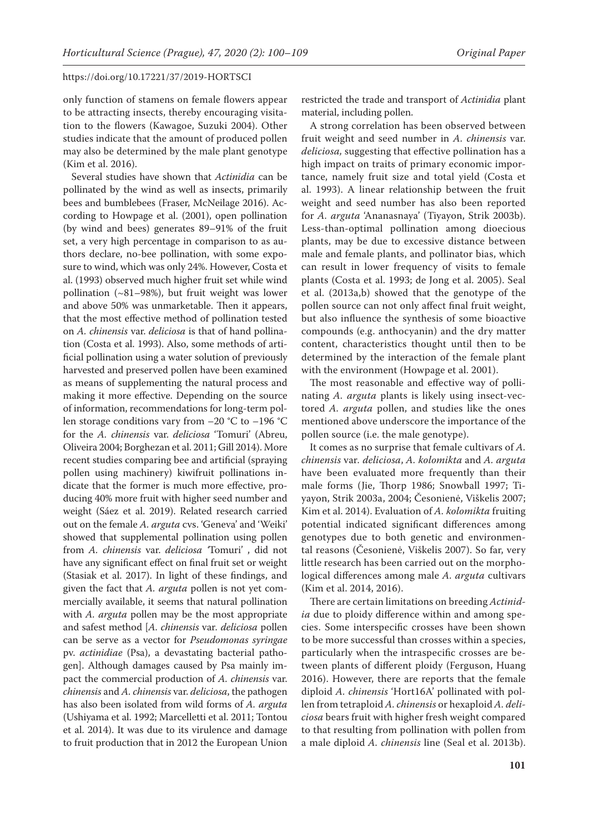only function of stamens on female flowers appear to be attracting insects, thereby encouraging visitation to the flowers (Kawagoe, Suzuki 2004). Other studies indicate that the amount of produced pollen may also be determined by the male plant genotype (Kim et al. 2016).

Several studies have shown that *Actinidia* can be pollinated by the wind as well as insects, primarily bees and bumblebees (Fraser, McNeilage 2016). According to Howpage et al. (2001), open pollination (by wind and bees) generates 89–91% of the fruit set, a very high percentage in comparison to as authors declare, no-bee pollination, with some exposure to wind, which was only 24%. However, Costa et al. (1993) observed much higher fruit set while wind pollination  $(-81-98%)$ , but fruit weight was lower and above 50% was unmarketable. Then it appears, that the most effective method of pollination tested on *A. chinensis* var. *deliciosa* is that of hand pollination (Costa et al. 1993). Also, some methods of artificial pollination using a water solution of previously harvested and preserved pollen have been examined as means of supplementing the natural process and making it more effective. Depending on the source of information, recommendations for long-term pollen storage conditions vary from  $-20$  °C to  $-196$  °C for the *A. chinensis* var. *deliciosa* 'Tomuri' (Abreu, Oliveira 2004; Borghezan et al. 2011; Gill 2014). More recent studies comparing bee and artificial (spraying pollen using machinery) kiwifruit pollinations indicate that the former is much more effective, producing 40% more fruit with higher seed number and weight (Sáez et al. 2019). Related research carried out on the female *A. arguta* cvs. 'Geneva' and 'Weiki' showed that supplemental pollination using pollen from *A. chinensis* var. *deliciosa '*Tomuri' , did not have any significant effect on final fruit set or weight (Stasiak et al. 2017). In light of these findings, and given the fact that *A. arguta* pollen is not yet commercially available, it seems that natural pollination with *A. arguta* pollen may be the most appropriate and safest method [*A. chinensis* var*. deliciosa* pollen can be serve as a vector for *Pseudomonas syringae* pv. *actinidiae* (Psa), a devastating bacterial pathogen]. Although damages caused by Psa mainly impact the commercial production of *A. chinensis* var. *chinensis* and *A. chinensis* var. *deliciosa*, the pathogen has also been isolated from wild forms of *A. arguta*  (Ushiyama et al. 1992; Marcelletti et al. 2011; Tontou et al. 2014). It was due to its virulence and damage to fruit production that in 2012 the European Union

restricted the trade and transport of *Actinidia* plant material, including pollen.

A strong correlation has been observed between fruit weight and seed number in *A. chinensis* var. *deliciosa,* suggesting that effective pollination has a high impact on traits of primary economic importance, namely fruit size and total yield (Costa et al. 1993). A linear relationship between the fruit weight and seed number has also been reported for *A. arguta* 'Ananasnaya' (Tiyayon, Strik 2003b). Less-than-optimal pollination among dioecious plants, may be due to excessive distance between male and female plants, and pollinator bias, which can result in lower frequency of visits to female plants (Costa et al. 1993; de Jong et al. 2005). Seal et al. (2013a,b) showed that the genotype of the pollen source can not only affect final fruit weight, but also influence the synthesis of some bioactive compounds (e.g. anthocyanin) and the dry matter content, characteristics thought until then to be determined by the interaction of the female plant with the environment (Howpage et al. 2001).

The most reasonable and effective way of pollinating *A. arguta* plants is likely using insect-vectored *A. arguta* pollen, and studies like the ones mentioned above underscore the importance of the pollen source (i.e. the male genotype).

It comes as no surprise that female cultivars of *A. chinensis* var*. deliciosa*, *A. kolomikta* and *A. arguta* have been evaluated more frequently than their male forms (Jie, Thorp 1986; Snowball 1997; Tiyayon, Strik 2003a, 2004; Česonienė, Viškelis 2007; Kim et al. 2014). Evaluation of *A. kolomikta* fruiting potential indicated significant differences among genotypes due to both genetic and environmental reasons (Česonienė, Viškelis 2007). So far, very little research has been carried out on the morphological differences among male *A. arguta* cultivars (Kim et al. 2014, 2016).

There are certain limitations on breeding *Actinidia* due to ploidy difference within and among species. Some interspecific crosses have been shown to be more successful than crosses within a species, particularly when the intraspecific crosses are between plants of different ploidy (Ferguson, Huang 2016). However, there are reports that the female diploid *A. chinensis* 'Hort16A' pollinated with pollen from tetraploid *A. chinensis* or hexaploid *A. deliciosa* bears fruit with higher fresh weight compared to that resulting from pollination with pollen from a male diploid *A. chinensis* line (Seal et al. 2013b).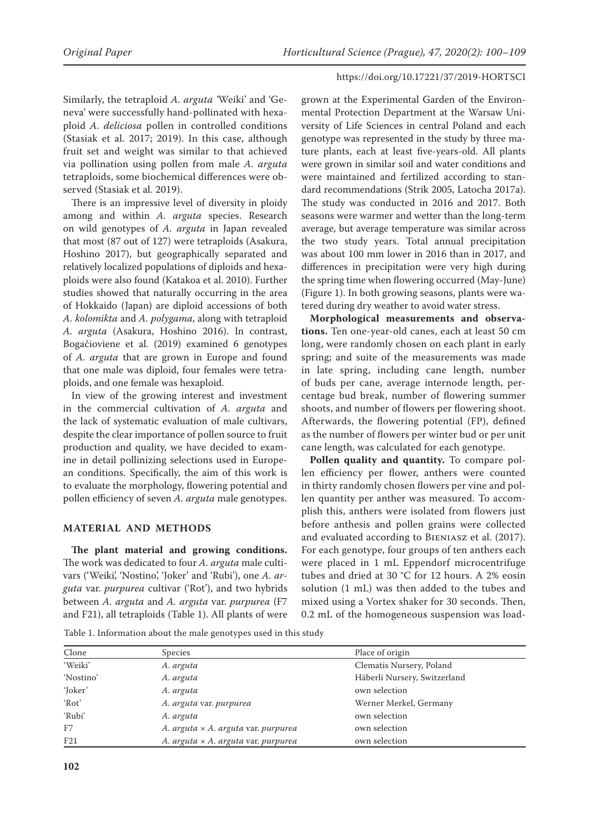Similarly, the tetraploid *A. arguta '*Weiki' and 'Geneva' were successfully hand-pollinated with hexaploid *A. deliciosa* pollen in controlled conditions (Stasiak et al. 2017; 2019). In this case, although fruit set and weight was similar to that achieved via pollination using pollen from male *A. arguta*  tetraploids, some biochemical differences were observed (Stasiak et al. 2019).

There is an impressive level of diversity in ploidy among and within *A. arguta* species. Research on wild genotypes of *A. arguta* in Japan revealed that most (87 out of 127) were tetraploids (Asakura, Hoshino 2017), but geographically separated and relatively localized populations of diploids and hexaploids were also found (Katakoa et al. 2010). Further studies showed that naturally occurring in the area of Hokkaido (Japan) are diploid accessions of both *A. kolomikta* and *A. polygama*, along with tetraploid *A. arguta* (Asakura, Hoshino 2016). In contrast, Bogačioviene et al. (2019) examined 6 genotypes of *A. arguta* that are grown in Europe and found that one male was diploid, four females were tetraploids, and one female was hexaploid.

In view of the growing interest and investment in the commercial cultivation of *A. arguta* and the lack of systematic evaluation of male cultivars, despite the clear importance of pollen source to fruit production and quality, we have decided to examine in detail pollinizing selections used in European conditions. Specifically, the aim of this work is to evaluate the morphology, flowering potential and pollen efficiency of seven *A. arguta* male genotypes.

# **MATERIAL AND METHODS**

**The plant material and growing conditions.**  The work was dedicated to four *A. arguta* male cultivars ('Weiki', 'Nostino', 'Joker' and 'Rubi'), one *A. arguta* var. *purpurea* cultivar ('Rot'), and two hybrids between *A. arguta* and *A. arguta* var. *purpurea* (F7 and F21), all tetraploids (Table 1). All plants of were

grown at the Experimental Garden of the Environmental Protection Department at the Warsaw University of Life Sciences in central Poland and each genotype was represented in the study by three mature plants, each at least five-years-old. All plants were grown in similar soil and water conditions and were maintained and fertilized according to standard recommendations (Strik 2005, Latocha 2017a). The study was conducted in 2016 and 2017. Both seasons were warmer and wetter than the long-term average, but average temperature was similar across the two study years. Total annual precipitation was about 100 mm lower in 2016 than in 2017, and differences in precipitation were very high during the spring time when flowering occurred (May-June) (Figure 1). In both growing seasons, plants were watered during dry weather to avoid water stress.

**Morphological measurements and observations.** Ten one-year-old canes, each at least 50 cm long, were randomly chosen on each plant in early spring; and suite of the measurements was made in late spring, including cane length, number of buds per cane, average internode length, percentage bud break, number of flowering summer shoots, and number of flowers per flowering shoot. Afterwards, the flowering potential (FP), defined as the number of flowers per winter bud or per unit cane length, was calculated for each genotype.

Pollen quality and quantity. To compare pollen efficiency per flower, anthers were counted in thirty randomly chosen flowers per vine and pollen quantity per anther was measured. To accomplish this, anthers were isolated from flowers just before anthesis and pollen grains were collected and evaluated according to Bieniasz et al. (2017). For each genotype, four groups of ten anthers each were placed in 1 mL Eppendorf microcentrifuge tubes and dried at 30 °C for 12 hours. A 2% eosin solution (1 mL) was then added to the tubes and mixed using a Vortex shaker for 30 seconds. Then, 0.2 mL of the homogeneous suspension was load-

Table 1. Information about the male genotypes used in this study

| Clone     | Species                                    | Place of origin              |  |  |
|-----------|--------------------------------------------|------------------------------|--|--|
| 'Weiki'   | A. arguta                                  | Clematis Nursery, Poland     |  |  |
| 'Nostino' | A. arguta                                  | Häberli Nursery, Switzerland |  |  |
| 'Joker'   | A. arguta                                  | own selection                |  |  |
| 'Rot'     | A. arguta var. purpurea                    | Werner Merkel, Germany       |  |  |
| 'Rubi'    | A. arguta                                  | own selection                |  |  |
| F7        | A. arguta $\times$ A. arguta var. purpurea | own selection                |  |  |
| F21       | A. arguta $\times$ A. arguta var. purpurea | own selection                |  |  |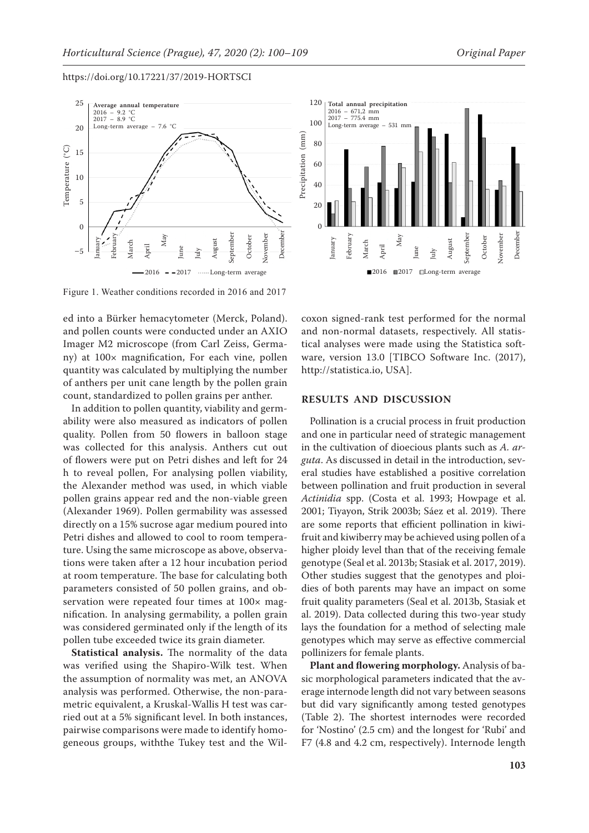

ed into a Bürker hemacytometer (Merck, Poland). and pollen counts were conducted under an AXIO Imager M2 microscope (from Carl Zeiss, Germany) at 100× magnification, For each vine, pollen quantity was calculated by multiplying the number of anthers per unit cane length by the pollen grain count, standardized to pollen grains per anther.

In addition to pollen quantity, viability and germability were also measured as indicators of pollen quality. Pollen from 50 flowers in balloon stage was collected for this analysis. Anthers cut out of flowers were put on Petri dishes and left for 24 h to reveal pollen, For analysing pollen viability, the Alexander method was used, in which viable pollen grains appear red and the non-viable green (Alexander 1969). Pollen germability was assessed directly on a 15% sucrose agar medium poured into Petri dishes and allowed to cool to room temperature. Using the same microscope as above, observations were taken after a 12 hour incubation period at room temperature. The base for calculating both parameters consisted of 50 pollen grains, and observation were repeated four times at 100× magnification. In analysing germability, a pollen grain was considered germinated only if the length of its pollen tube exceeded twice its grain diameter.

**Statistical analysis.** The normality of the data was verified using the Shapiro-Wilk test. When the assumption of normality was met, an ANOVA analysis was performed. Otherwise, the non-parametric equivalent, a Kruskal-Wallis H test was carried out at a 5% significant level. In both instances, pairwise comparisons were made to identify homogeneous groups, withthe Tukey test and the Wil-



coxon signed-rank test performed for the normal and non-normal datasets, respectively. All statistical analyses were made using the Statistica software, version 13.0 [TIBCO Software Inc. (2017), http://statistica.io, USA].

# **RESULTS AND DISCUSSION**

Pollination is a crucial process in fruit production and one in particular need of strategic management in the cultivation of dioecious plants such as *A. arguta*. As discussed in detail in the introduction, several studies have established a positive correlation between pollination and fruit production in several *Actinidia* spp. (Costa et al. 1993; Howpage et al. 2001; Tiyayon, Strik 2003b; Sáez et al. 2019). There are some reports that efficient pollination in kiwifruit and kiwiberry may be achieved using pollen of a higher ploidy level than that of the receiving female genotype (Seal et al. 2013b; Stasiak et al. 2017, 2019). Other studies suggest that the genotypes and ploidies of both parents may have an impact on some fruit quality parameters (Seal et al. 2013b, Stasiak et al. 2019). Data collected during this two-year study lays the foundation for a method of selecting male genotypes which may serve as effective commercial pollinizers for female plants.

**Plant and flowering morphology.** Analysis of basic morphological parameters indicated that the average internode length did not vary between seasons but did vary significantly among tested genotypes (Table 2). The shortest internodes were recorded for 'Nostino' (2.5 cm) and the longest for 'Rubi' and F7 (4.8 and 4.2 cm, respectively). Internode length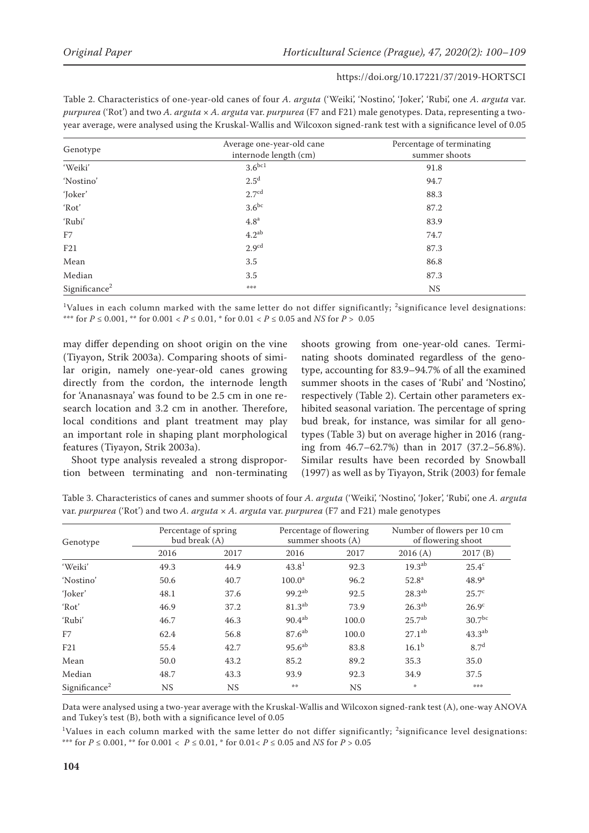| Table 2. Characteristics of one-year-old canes of four A. arguta ('Weiki', 'Nostino', 'Joker', 'Rubi', one A. arguta var. |
|---------------------------------------------------------------------------------------------------------------------------|
| purpurea ('Rot') and two A. arguta x A. arguta var. purpurea (F7 and F21) male genotypes. Data, representing a two-       |
| year average, were analysed using the Kruskal-Wallis and Wilcoxon signed-rank test with a significance level of 0.05      |

| Genotype                  | Average one-year-old cane<br>internode length (cm) | Percentage of terminating<br>summer shoots |  |  |
|---------------------------|----------------------------------------------------|--------------------------------------------|--|--|
| 'Weiki'                   | $3.6^{bc1}$                                        | 91.8                                       |  |  |
| 'Nostino'                 | 2.5 <sup>d</sup>                                   | 94.7                                       |  |  |
| 'Joker'                   | 2.7 <sup>cd</sup>                                  | 88.3                                       |  |  |
| 'Rot'                     | $3.6^{bc}$                                         | 87.2                                       |  |  |
| 'Rubi'                    | 4.8 <sup>a</sup>                                   | 83.9                                       |  |  |
| F7                        | $4.2^{ab}$                                         | 74.7                                       |  |  |
| F21                       | 2.9 <sup>cd</sup>                                  | 87.3                                       |  |  |
| Mean                      | 3.5                                                | 86.8                                       |  |  |
| Median                    | 3.5                                                | 87.3                                       |  |  |
| Significance <sup>2</sup> | ***                                                | <b>NS</b>                                  |  |  |

 $\rm ^1V$ alues in each column marked with the same letter do not differ significantly;  $\rm ^2$ significance level designations: \*\*\* for *P* ≤ 0.001, \*\* for 0.001 < *P* ≤ 0.01, \* for 0.01 < *P* ≤ 0.05 and *NS* for *P* > 0.05

may differ depending on shoot origin on the vine (Tiyayon, Strik 2003a). Comparing shoots of similar origin, namely one-year-old canes growing directly from the cordon, the internode length for 'Ananasnaya' was found to be 2.5 cm in one research location and 3.2 cm in another. Therefore, local conditions and plant treatment may play an important role in shaping plant morphological features (Tiyayon, Strik 2003a).

Shoot type analysis revealed a strong disproportion between terminating and non-terminating shoots growing from one-year-old canes. Terminating shoots dominated regardless of the genotype, accounting for 83.9–94.7% of all the examined summer shoots in the cases of 'Rubi' and 'Nostino', respectively (Table 2). Certain other parameters exhibited seasonal variation. The percentage of spring bud break, for instance, was similar for all genotypes (Table 3) but on average higher in 2016 (ranging from 46.7–62.7%) than in 2017 (37.2–56.8%). Similar results have been recorded by Snowball (1997) as well as by Tiyayon, Strik (2003) for female

Table 3. Characteristics of canes and summer shoots of four *A. arguta* ('Weiki', 'Nostino', 'Joker', 'Rubi', one *A. arguta*  var. *purpurea* ('Rot') and two *A. arguta* × *A. arguta* var. *purpurea* (F7 and F21) male genotypes

| Genotype                  | Percentage of spring<br>bud break (A) |      | Percentage of flowering<br>summer shoots (A) |           | Number of flowers per 10 cm<br>of flowering shoot |                    |
|---------------------------|---------------------------------------|------|----------------------------------------------|-----------|---------------------------------------------------|--------------------|
|                           | 2016                                  | 2017 | 2016                                         | 2017      | 2016(A)                                           | 2017(B)            |
| 'Weiki'                   | 49.3                                  | 44.9 | 43.8 <sup>1</sup>                            | 92.3      | 19.3 <sup>ab</sup>                                | $25.4^{\circ}$     |
| 'Nostino'                 | 50.6                                  | 40.7 | 100.0 <sup>a</sup>                           | 96.2      | 52.8 <sup>a</sup>                                 | 48.9 <sup>a</sup>  |
| 'Joker'                   | 48.1                                  | 37.6 | $99.2^{ab}$                                  | 92.5      | $28.3^{ab}$                                       | 25.7 <sup>c</sup>  |
| 'Rot'                     | 46.9                                  | 37.2 | 81.3 <sup>ab</sup>                           | 73.9      | $26.3^{ab}$                                       | 26.9 <sup>c</sup>  |
| 'Rubi'                    | 46.7                                  | 46.3 | $90.4^{ab}$                                  | 100.0     | 25.7 <sup>ab</sup>                                | 30.7 <sup>bc</sup> |
| F7                        | 62.4                                  | 56.8 | 87.6 <sup>ab</sup>                           | 100.0     | $27.1^{ab}$                                       | $43.3^{ab}$        |
| F21                       | 55.4                                  | 42.7 | 95.6 <sup>ab</sup>                           | 83.8      | $16.1^{b}$                                        | 8.7 <sup>d</sup>   |
| Mean                      | 50.0                                  | 43.2 | 85.2                                         | 89.2      | 35.3                                              | 35.0               |
| Median                    | 48.7                                  | 43.3 | 93.9                                         | 92.3      | 34.9                                              | 37.5               |
| Significance <sup>2</sup> | NS                                    | NS   | 染染                                           | <b>NS</b> | *                                                 | ***                |

Data were analysed using a two-year average with the Kruskal-Wallis and Wilcoxon signed-rank test (A), one-way ANOVA and Tukey's test (B), both with a significance level of 0.05

 $1$ Values in each column marked with the same letter do not differ significantly;  $2$ significance level designations: \*\*\* for *P* ≤ 0.001, \*\* for 0.001 < *P* ≤ 0.01, \* for 0.01< *P* ≤ 0.05 and *NS* for *P* > 0.05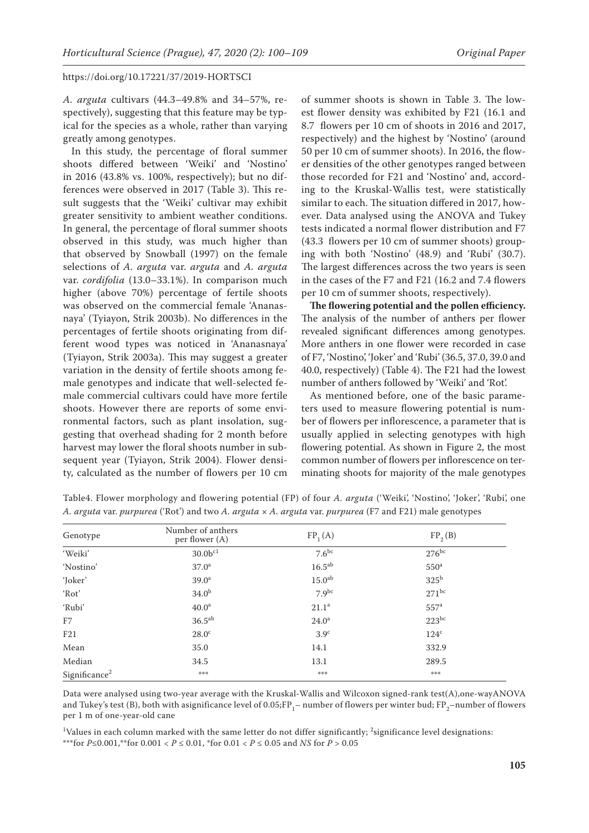*A. arguta* cultivars (44.3–49.8% and 34–57%, respectively), suggesting that this feature may be typical for the species as a whole, rather than varying greatly among genotypes.

In this study, the percentage of floral summer shoots differed between 'Weiki' and 'Nostino' in 2016 (43.8% vs. 100%, respectively); but no differences were observed in 2017 (Table 3). This result suggests that the 'Weiki' cultivar may exhibit greater sensitivity to ambient weather conditions. In general, the percentage of floral summer shoots observed in this study, was much higher than that observed by Snowball (1997) on the female selections of *A. arguta* var. *arguta* and *A. arguta*  var. *cordifolia* (13.0–33.1%). In comparison much higher (above 70%) percentage of fertile shoots was observed on the commercial female 'Ananasnaya' (Tyiayon, Strik 2003b). No differences in the percentages of fertile shoots originating from different wood types was noticed in 'Ananasnaya' (Tyiayon, Strik 2003a). This may suggest a greater variation in the density of fertile shoots among female genotypes and indicate that well-selected female commercial cultivars could have more fertile shoots. However there are reports of some environmental factors, such as plant insolation, suggesting that overhead shading for 2 month before harvest may lower the floral shoots number in subsequent year (Tyiayon, Strik 2004). Flower density, calculated as the number of flowers per 10 cm

of summer shoots is shown in Table 3. The lowest flower density was exhibited by F21 (16.1 and 8.7 flowers per 10 cm of shoots in 2016 and 2017, respectively) and the highest by 'Nostino' (around 50 per 10 cm of summer shoots). In 2016, the flower densities of the other genotypes ranged between those recorded for F21 and 'Nostino' and, according to the Kruskal-Wallis test, were statistically similar to each. The situation differed in 2017, however. Data analysed using the ANOVA and Tukey tests indicated a normal flower distribution and F7 (43.3 flowers per 10 cm of summer shoots) grouping with both 'Nostino' (48.9) and 'Rubi' (30.7). The largest differences across the two years is seen in the cases of the F7 and F21 (16.2 and 7.4 flowers per 10 cm of summer shoots, respectively).

**The flowering potential and the pollen efficiency.**  The analysis of the number of anthers per flower revealed significant differences among genotypes. More anthers in one flower were recorded in case of F7, 'Nostino', 'Joker' and 'Rubi' (36.5, 37.0, 39.0 and 40.0, respectively) (Table 4). The F21 had the lowest number of anthers followed by 'Weiki' and 'Rot'.

As mentioned before, one of the basic parameters used to measure flowering potential is number of flowers per inflorescence, a parameter that is usually applied in selecting genotypes with high flowering potential. As shown in Figure 2, the most common number of flowers per inflorescence on terminating shoots for majority of the male genotypes

| Genotype                  | Number of anthers<br>per flower (A) | $FP_{1}(A)$        | FP <sub>2</sub> (B) |  |
|---------------------------|-------------------------------------|--------------------|---------------------|--|
| 'Weiki'                   | 30.0 <sup>c1</sup>                  | $7.6^{bc}$         | $276^{bc}$          |  |
| 'Nostino'                 | 37.0 <sup>a</sup>                   | $16.5^{ab}$        | 550 <sup>a</sup>    |  |
| 'Joker'                   | 39.0 <sup>a</sup>                   | 15.0 <sup>ab</sup> | $325^{\rm b}$       |  |
| 'Rot'                     | 34.0 <sup>b</sup>                   | $7.9^{bc}$         | $271^{bc}$          |  |
| 'Rubi'                    | 40.0 <sup>a</sup>                   | $21.1^a$           | 557 <sup>a</sup>    |  |
| F7                        | $36.5^{ab}$                         | $24.0^{\circ}$     | $223^{bc}$          |  |
| F21                       | 28.0 <sup>c</sup>                   | 3.9 <sup>c</sup>   | 124 <sup>c</sup>    |  |
| Mean                      | 35.0                                | 14.1               | 332.9               |  |
| Median                    | 34.5                                | 13.1               | 289.5               |  |
| Significance <sup>2</sup> | ***                                 | ***                | ***                 |  |

Table4. Flower morphology and flowering potential (FP) of four *A. arguta* ('Weiki', 'Nostino', 'Joker', 'Rubi', one *A. arguta* var. *purpurea* ('Rot') and two *A. arguta* × *A. arguta* var. *purpurea* (F7 and F21) male genotypes

Data were analysed using two-year average with the Kruskal-Wallis and Wilcoxon signed-rank test(A),one-wayANOVA and Tukey's test (B), both with asignificance level of 0.05;FP<sub>1</sub>– number of flowers per winter bud; FP<sub>2</sub>–number of flowers per 1 m of one-year-old cane

 $\rm ^1$ Values in each column marked with the same letter do not differ significantly;  $\rm ^2$ significance level designations: \*\*\*for *P*≤0.001,\*\*for 0.001 < *P* ≤ 0.01, \*for 0.01 < *P* ≤ 0.05 and *NS* for *P* > 0.05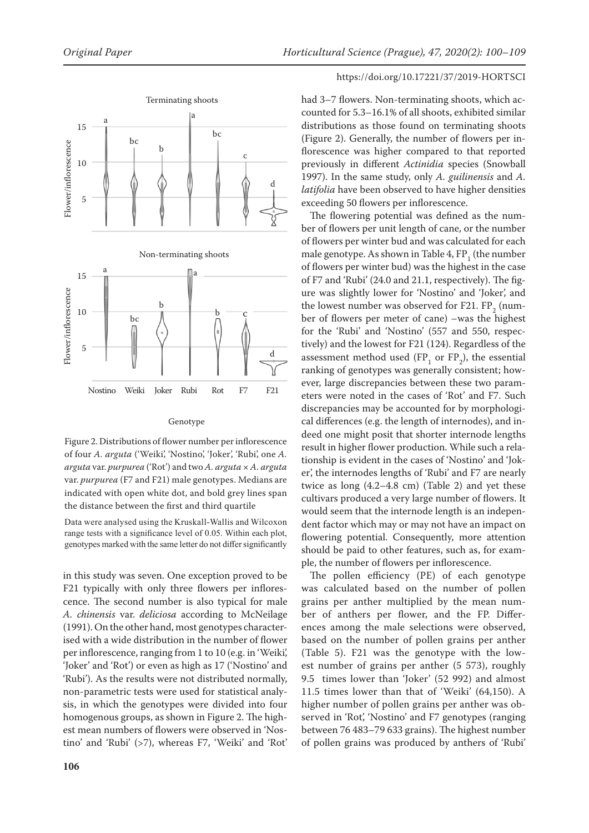

#### Genotype

Figure 2. Distributions of flower number per inflorescence of four *A. arguta* ('Weiki', 'Nostino', 'Joker', 'Rubi', one *A. arguta* var. *purpurea* ('Rot') and two *A. arguta* × *A. arguta*  var. *purpurea* (F7 and F21) male genotypes. Medians are indicated with open white dot, and bold grey lines span the distance between the first and third quartile

Data were analysed using the Kruskall-Wallis and Wilcoxon range tests with a significance level of 0.05. Within each plot, genotypes marked with the same letter do not differ significantly

in this study was seven. One exception proved to be F21 typically with only three flowers per inflorescence. The second number is also typical for male *A. chinensis* var. *deliciosa* according to McNeilage (1991). On the other hand, most genotypes characterised with a wide distribution in the number of flower per inflorescence, ranging from 1 to 10 (e.g. in 'Weiki', 'Joker' and 'Rot') or even as high as 17 ('Nostino' and 'Rubi'). As the results were not distributed normally, non-parametric tests were used for statistical analysis, in which the genotypes were divided into four homogenous groups, as shown in Figure 2. The highest mean numbers of flowers were observed in 'Nostino' and 'Rubi' (>7), whereas F7, 'Weiki' and 'Rot'

## https://doi.org/10.17221/37/2019-HORTSCI

had 3–7 flowers. Non-terminating shoots, which accounted for 5.3–16.1% of all shoots, exhibited similar distributions as those found on terminating shoots (Figure 2). Generally, the number of flowers per inflorescence was higher compared to that reported previously in different *Actinidia* species (Snowball 1997). In the same study, only *A. guilinensis* and *A. latifolia* have been observed to have higher densities exceeding 50 flowers per inflorescence.

The flowering potential was defined as the number of flowers per unit length of cane, or the number of flowers per winter bud and was calculated for each male genotype. As shown in Table  $4, FP<sub>1</sub>$  (the number of flowers per winter bud) was the highest in the case of F7 and 'Rubi' (24.0 and 21.1, respectively). The figure was slightly lower for 'Nostino' and 'Joker', and the lowest number was observed for F21.  $FP_2$  (number of flowers per meter of cane) –was the highest for the 'Rubi' and 'Nostino' (557 and 550, respectively) and the lowest for F21 (124). Regardless of the assessment method used  $(FP_1 \text{ or } FP_2)$ , the essential ranking of genotypes was generally consistent; however, large discrepancies between these two parameters were noted in the cases of 'Rot' and F7. Such discrepancies may be accounted for by morphological differences (e.g. the length of internodes), and indeed one might posit that shorter internode lengths result in higher flower production. While such a relationship is evident in the cases of 'Nostino' and 'Joker', the internodes lengths of 'Rubi' and F7 are nearly twice as long  $(4.2-4.8$  cm) (Table 2) and yet these cultivars produced a very large number of flowers. It would seem that the internode length is an independent factor which may or may not have an impact on flowering potential. Consequently, more attention should be paid to other features, such as, for example, the number of flowers per inflorescence.

The pollen efficiency (PE) of each genotype was calculated based on the number of pollen grains per anther multiplied by the mean number of anthers per flower, and the FP. Differences among the male selections were observed, based on the number of pollen grains per anther (Table 5). F21 was the genotype with the lowest number of grains per anther (5 573), roughly 9.5 times lower than 'Joker' (52 992) and almost 11.5 times lower than that of 'Weiki' (64,150). A higher number of pollen grains per anther was observed in 'Rot', 'Nostino' and F7 genotypes (ranging between 76 483–79 633 grains). The highest number of pollen grains was produced by anthers of 'Rubi'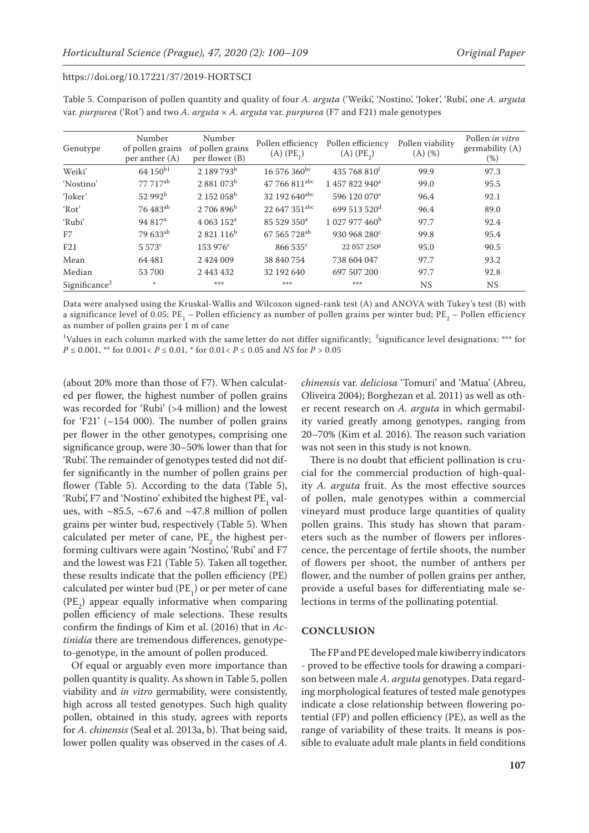| Genotype                  | Number<br>of pollen grains<br>per anther $(A)$ | Number<br>of pollen grains<br>per flower (B) | Pollen efficiency<br>$(A)$ $(PE_1)$ | Pollen efficiency<br>$(A)$ $(PE_2)$ | Pollen viability<br>$(A)$ $(\%)$ | Pollen in vitro<br>germability (A)<br>$(\%)$ |
|---------------------------|------------------------------------------------|----------------------------------------------|-------------------------------------|-------------------------------------|----------------------------------|----------------------------------------------|
| Weiki'                    | 64 150 <sup>b1</sup>                           | 2 189 793 <sup>b</sup>                       | 16 576 360 <sup>bc</sup>            | 435 768 810 <sup>f</sup>            | 99.9                             | 97.3                                         |
| 'Nostino'                 | 77 717ab                                       | $2.881.073^b$                                | 47 766 811 <sup>abc</sup>           | 1 457 822 940 <sup>a</sup>          | 99.0                             | 95.5                                         |
| 'Joker'                   | $52992^{\rm b}$                                | $2152058^{\rm b}$                            | 32 192 640 <sup>abc</sup>           | 596 120 070 <sup>e</sup>            | 96.4                             | 92.1                                         |
| 'Rot'                     | 76 483 <sup>ab</sup>                           | $2706896^{\rm b}$                            | 22 647 351abc                       | 699 513 520 <sup>d</sup>            | 96.4                             | 89.0                                         |
| 'Rubi'                    | 94 817 <sup>a</sup>                            | 4 063 152 <sup>a</sup>                       | 85 529 350 <sup>a</sup>             | 1 027 977 460 <sup>b</sup>          | 97.7                             | 92.4                                         |
| F7                        | 79 633 <sup>ab</sup>                           | $2821116^{b}$                                | 67 565 728 <sup>ab</sup>            | 930 968 280 <sup>c</sup>            | 99.8                             | 95.4                                         |
| F21                       | $5.573^{\circ}$                                | $153976^{\circ}$                             | $866535^{\circ}$                    | 22 057 250 <sup>g</sup>             | 95.0                             | 90.5                                         |
| Mean                      | 64 481                                         | 2 424 009                                    | 38 840 754                          | 738 604 047                         | 97.7                             | 93.2                                         |
| Median                    | 53 700                                         | 2 443 432                                    | 32 192 640                          | 697 507 200                         | 97.7                             | 92.8                                         |
| Significance <sup>2</sup> | 非                                              | ***                                          | 染物学                                 | 染染物                                 | <b>NS</b>                        | NS.                                          |

Table 5. Comparison of pollen quantity and quality of four *A. arguta* ('Weiki', 'Nostino', 'Joker', 'Rubi', one *A. arguta*  var. *purpurea* ('Rot') and two *A. arguta* × *A. arguta* var. *purpurea* (F7 and F21) male genotypes

Data were analysed using the Kruskal-Wallis and Wilcoxon signed-rank test (A) and ANOVA with Tukey's test (B) with a significance level of 0.05;  $PE_1$  – Pollen efficiency as number of pollen grains per winter bud;  $PE_2$  – Pollen efficiency as number of pollen grains per 1 m of cane

 $\rm ^1$ Values in each column marked with the same letter do not differ significantly;  $\rm ^2$ significance level designations: \*\*\* for *P* ≤ 0.001, <sup>\*\*</sup> for 0.001< *P* ≤ 0.01, <sup>\*</sup> for 0.01< *P* ≤ 0.05 and *NS* for *P* > 0.05

(about 20% more than those of F7). When calculated per flower, the highest number of pollen grains was recorded for 'Rubi' (>4 million) and the lowest for  $f21'$  (~154 000). The number of pollen grains per flower in the other genotypes, comprising one significance group, were 30–50% lower than that for 'Rubi'. The remainder of genotypes tested did not differ significantly in the number of pollen grains per flower (Table 5). According to the data (Table 5), 'Rubi', F7 and 'Nostino' exhibited the highest  $PE_1$  values, with  $\sim$ 85.5,  $\sim$ 67.6 and  $\sim$ 47.8 million of pollen grains per winter bud, respectively (Table 5). When calculated per meter of cane,  $PE_2$  the highest performing cultivars were again 'Nostino', 'Rubi' and F7 and the lowest was F21 (Table 5). Taken all together, these results indicate that the pollen efficiency (PE) calculated per winter bud ( $PE_1$ ) or per meter of cane  $(PE<sub>2</sub>)$  appear equally informative when comparing pollen efficiency of male selections. These results confirm the findings of Kim et al. (2016) that in *Actinidia* there are tremendous differences, genotypeto-genotype, in the amount of pollen produced.

Of equal or arguably even more importance than pollen quantity is quality. As shown in Table 5, pollen viability and *in vitro* germability, were consistently, high across all tested genotypes. Such high quality pollen, obtained in this study, agrees with reports for *A. chinensis* (Seal et al. 2013a, b). That being said, lower pollen quality was observed in the cases of *A.*  *chinensis* var. *deliciosa* 'Tomuri' and 'Matua' (Abreu, Oliveira 2004); Borghezan et al. 2011) as well as other recent research on *A. arguta* in which germability varied greatly among genotypes, ranging from 20–70% (Kim et al. 2016). The reason such variation was not seen in this study is not known.

There is no doubt that efficient pollination is crucial for the commercial production of high-quality *A. arguta* fruit. As the most effective sources of pollen, male genotypes within a commercial vineyard must produce large quantities of quality pollen grains. This study has shown that parameters such as the number of flowers per inflorescence, the percentage of fertile shoots, the number of flowers per shoot, the number of anthers per flower, and the number of pollen grains per anther, provide a useful bases for differentiating male selections in terms of the pollinating potential.

#### **CONCLUSION**

The FP and PE developed male kiwiberry indicators - proved to be effective tools for drawing a comparison between male *A. arguta* genotypes. Data regarding morphological features of tested male genotypes indicate a close relationship between flowering potential (FP) and pollen efficiency (PE), as well as the range of variability of these traits. It means is possible to evaluate adult male plants in field conditions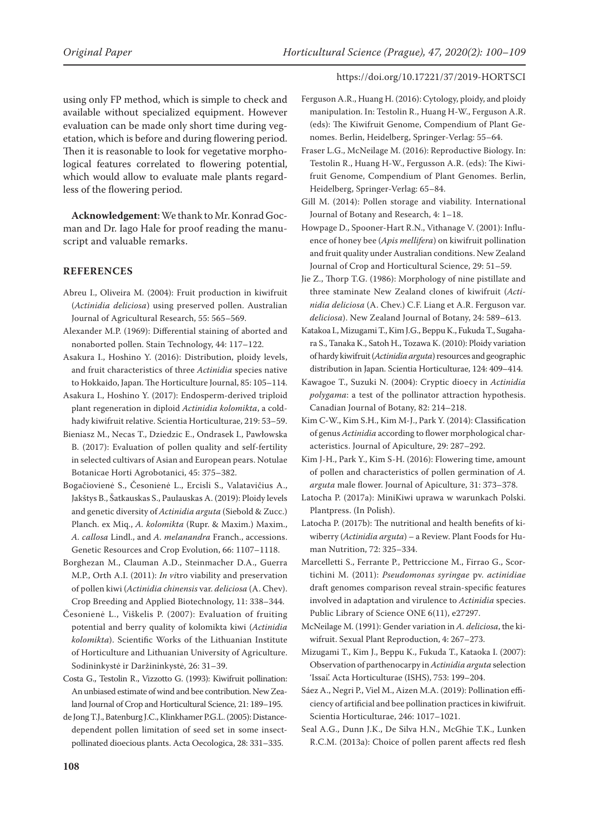using only FP method, which is simple to check and available without specialized equipment. However evaluation can be made only short time during vegetation, which is before and during flowering period. Then it is reasonable to look for vegetative morphological features correlated to flowering potential, which would allow to evaluate male plants regardless of the flowering period.

**Acknowledgement**: We thank to Mr. Konrad Gocman and Dr. Iago Hale for proof reading the manuscript and valuable remarks.

# **REFERENCES**

- Abreu I., Oliveira M. (2004): Fruit production in kiwifruit (*Actinidia deliciosa*) using preserved pollen. Australian Journal of Agricultural Research, 55: 565–569.
- Alexander M.P. (1969): Differential staining of aborted and nonaborted pollen. Stain Technology, 44: 117–122.
- Asakura I., Hoshino Y. (2016): Distribution, ploidy levels, and fruit characteristics of three *Actinidia* species native to Hokkaido, Japan. The Horticulture Journal, 85: 105–114.
- Asakura I., Hoshino Y. (2017): Endosperm-derived triploid plant regeneration in diploid *Actinidia kolomikta*, a coldhady kiwifruit relative. Scientia Horticulturae, 219: 53–59.
- Bieniasz M., Necas T., Dziedzic E., Ondrasek I., Pawłowska B. (2017): Evaluation of pollen quality and self-fertility in selected cultivars of Asian and European pears. Notulae Botanicae Horti Agrobotanici, 45: 375–382.
- Bogačiovienė S., Česonienė L., Ercisli S., Valatavičius A., Jakštys B., Šatkauskas S., Paulauskas A. (2019): Ploidy levels and genetic diversity of *Actinidia arguta* (Siebold & Zucc.) Planch. ex Miq., *A. kolomikta* (Rupr. & Maxim.) Maxim., *A. callosa* Lindl., and *A. melanandra* Franch., accessions. Genetic Resources and Crop Evolution, 66: 1107–1118.
- Borghezan M., Clauman A.D., Steinmacher D.A., Guerra M.P., Orth A.I. (2011): *In vi*tro viability and preservation of pollen kiwi (*Actinidia chinensis* var. *deliciosa* (A. Chev). Crop Breeding and Applied Biotechnology, 11: 338–344.
- Česonienė L., Viškelis P. (2007): Evaluation of fruiting potential and berry quality of kolomikta kiwi (*Actinidia kolomikta*). Scientific Works of the Lithuanian Institute of Horticulture and Lithuanian University of Agriculture. Sodininkystė ir Daržininkystė, 26: 31–39.
- Costa G., Testolin R., Vizzotto G. (1993): Kiwifruit pollination: An unbiased estimate of wind and bee contribution. New Zealand Journal of Crop and Horticultural Science, 21: 189–195.
- de Jong T.J., Batenburg J.C., Klinkhamer P.G.L. (2005): Distancedependent pollen limitation of seed set in some insectpollinated dioecious plants. Acta Oecologica, 28: 331–335.
- Ferguson A.R., Huang H. (2016): Cytology, ploidy, and ploidy manipulation. In: Testolin R., Huang H-W., Ferguson A.R. (eds): The Kiwifruit Genome, Compendium of Plant Genomes. Berlin, Heidelberg, Springer-Verlag: 55–64.
- Fraser L.G., McNeilage M. (2016): Reproductive Biology. In: Testolin R., Huang H-W., Fergusson A.R. (eds): The Kiwifruit Genome, Compendium of Plant Genomes. Berlin, Heidelberg, Springer-Verlag: 65–84.
- Gill M. (2014): Pollen storage and viability. International Journal of Botany and Research, 4: 1–18.
- Howpage D., Spooner-Hart R.N., Vithanage V. (2001): Influence of honey bee (*Apis mellifera*) on kiwifruit pollination and fruit quality under Australian conditions. New Zealand Journal of Crop and Horticultural Science, 29: 51–59.
- Jie Z., Thorp T.G. (1986): Morphology of nine pistillate and three staminate New Zealand clones of kiwifruit (*Actinidia deliciosa* (A. Chev.) C.F. Liang et A.R. Ferguson var. *deliciosa*). New Zealand Journal of Botany, 24: 589–613.
- Katakoa I., Mizugami T., Kim J.G., Beppu K., Fukuda T., Sugahara S., Tanaka K., Satoh H., Tozawa K. (2010): Ploidy variation of hardy kiwifruit (*Actinidia arguta*) resources and geographic distribution in Japan. Scientia Horticulturae, 124: 409–414.
- Kawagoe T., Suzuki N. (2004): Cryptic dioecy in *Actinidia polygama*: a test of the pollinator attraction hypothesis. Canadian Journal of Botany, 82: 214–218.
- Kim C-W., Kim S.H., Kim M-J., Park Y. (2014): Classification of genus *Actinidia* according to flower morphological characteristics. Journal of Apiculture, 29: 287–292.
- Kim J-H., Park Y., Kim S-H. (2016): Flowering time, amount of pollen and characteristics of pollen germination of *A. arguta* male flower. Journal of Apiculture, 31: 373–378.
- Latocha P. (2017a): MiniKiwi uprawa w warunkach Polski. Plantpress. (In Polish).
- Latocha P. (2017b): The nutritional and health benefits of kiwiberry (*Actinidia arguta*) – a Review. Plant Foods for Human Nutrition, 72: 325–334.
- Marcelletti S., Ferrante P., Pettriccione M., Firrao G., Scortichini M. (2011): *Pseudomonas syringae* pv. *actinidiae* draft genomes comparison reveal strain-specific features involved in adaptation and virulence to *Actinidia* species. Public Library of Science ONE 6(11), e27297.
- McNeilage M. (1991): Gender variation in *A. deliciosa*, the kiwifruit. Sexual Plant Reproduction, 4: 267–273.
- Mizugami T., Kim J., Beppu K., Fukuda T., Kataoka I. (2007): Observation of parthenocarpy in *Actinidia arguta* selection 'Issai'. Acta Horticulturae (ISHS), 753: 199–204.
- Sáez A., Negri P., Viel M., Aizen M.A. (2019): Pollination efficiency of artificial and bee pollination practices in kiwifruit. Scientia Horticulturae, 246: 1017–1021.
- Seal A.G., Dunn J.K., De Silva H.N., McGhie T.K., Lunken R.C.M. (2013a): Choice of pollen parent affects red flesh